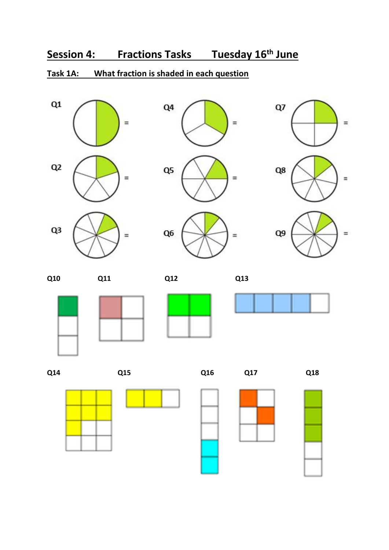#### **Task 1A: What fraction is shaded in each question**















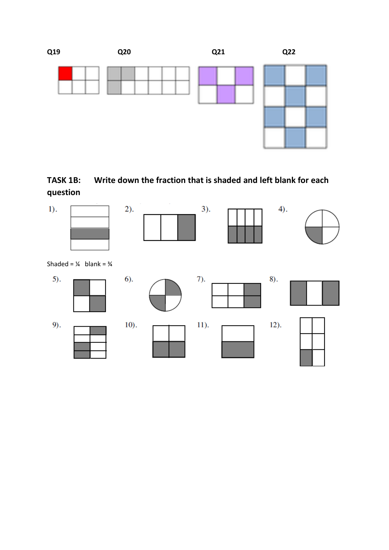



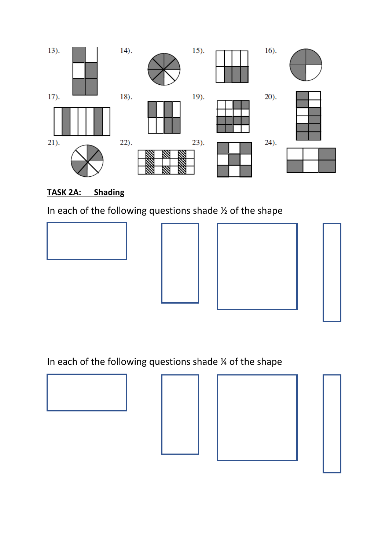

### **TASK 2A: Shading**

In each of the following questions shade ½ of the shape



In each of the following questions shade  $\frac{1}{4}$  of the shape

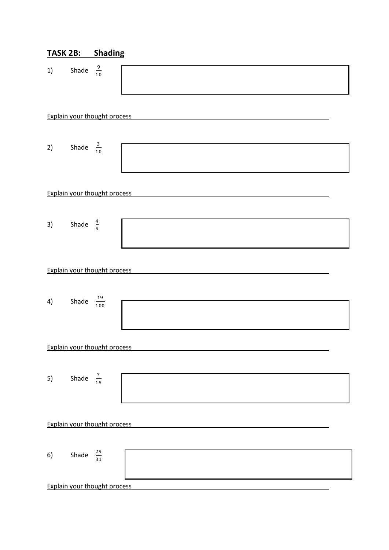| TASK 2B: | <b>Shading</b> |
|----------|----------------|
|          |                |

| 1)                                  | Shade $\frac{9}{10}$   |                                     |  |  |  |  |  |  |
|-------------------------------------|------------------------|-------------------------------------|--|--|--|--|--|--|
|                                     |                        | <b>Explain your thought process</b> |  |  |  |  |  |  |
| 2)                                  | Shade $\frac{3}{10}$   |                                     |  |  |  |  |  |  |
|                                     |                        |                                     |  |  |  |  |  |  |
|                                     |                        | <b>Explain your thought process</b> |  |  |  |  |  |  |
|                                     |                        |                                     |  |  |  |  |  |  |
| 3)                                  | Shade $\frac{4}{5}$    |                                     |  |  |  |  |  |  |
|                                     |                        | <b>Explain your thought process</b> |  |  |  |  |  |  |
| 4)                                  | Shade $\frac{19}{100}$ |                                     |  |  |  |  |  |  |
|                                     |                        | <b>Explain your thought process</b> |  |  |  |  |  |  |
|                                     |                        |                                     |  |  |  |  |  |  |
| 5)                                  | Shade $\frac{7}{15}$   |                                     |  |  |  |  |  |  |
| <b>Explain your thought process</b> |                        |                                     |  |  |  |  |  |  |
|                                     |                        |                                     |  |  |  |  |  |  |
| 6)                                  | Shade $\frac{29}{31}$  |                                     |  |  |  |  |  |  |
|                                     |                        | <b>Explain your thought process</b> |  |  |  |  |  |  |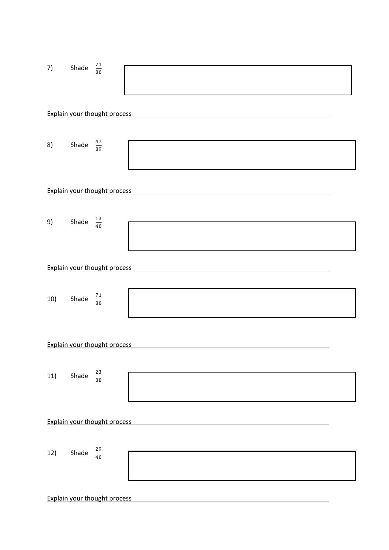| 7)  | Shade                 | $\frac{71}{80}$                     |  |
|-----|-----------------------|-------------------------------------|--|
|     |                       | <b>Explain your thought process</b> |  |
|     |                       |                                     |  |
| 8)  | Shade                 | $\frac{47}{89}$                     |  |
|     |                       | <b>Explain your thought process</b> |  |
| 9)  | Shade                 | $\frac{13}{40}$                     |  |
|     |                       |                                     |  |
|     |                       | <b>Explain your thought process</b> |  |
| 10) | Shade $\frac{71}{80}$ |                                     |  |
|     |                       | <b>Explain your thought process</b> |  |
| 11) | Shade                 | $\frac{23}{88}$                     |  |
|     |                       |                                     |  |
|     |                       | <b>Explain your thought process</b> |  |
| 12) | Shade                 | $\frac{29}{40}$                     |  |
|     |                       | <b>Explain your thought process</b> |  |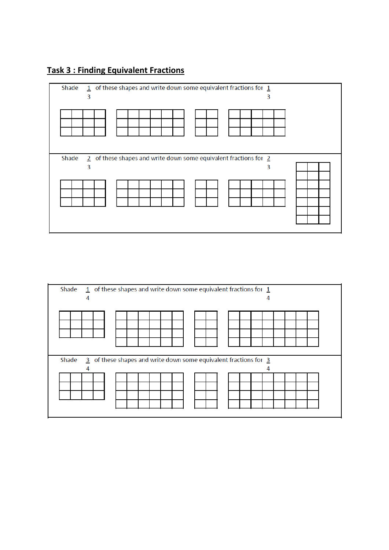### **Task 3 : Finding Equivalent Fractions**



| Shade<br>4 | $1$ of these shapes and write down some equivalent fractions for $1$                                 |  |  |  |  |  |  |  |  |  | 4 |  |  |  |
|------------|------------------------------------------------------------------------------------------------------|--|--|--|--|--|--|--|--|--|---|--|--|--|
|            |                                                                                                      |  |  |  |  |  |  |  |  |  |   |  |  |  |
| Shade      | $\overline{3}$ of these shapes and write down some equivalent fractions for $\overline{3}$<br>4<br>4 |  |  |  |  |  |  |  |  |  |   |  |  |  |
|            |                                                                                                      |  |  |  |  |  |  |  |  |  |   |  |  |  |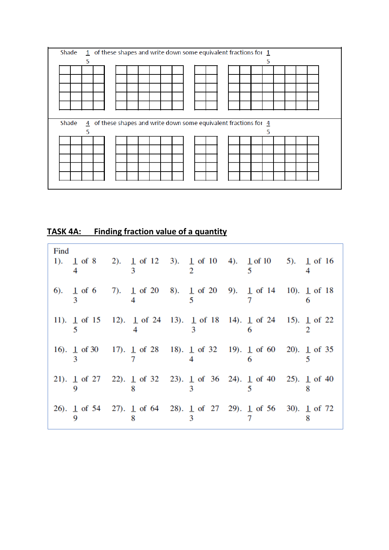

**TASK 4A: Finding fraction value of a quantity**

| Find |  | 1). $\pm$ of 8 2). $\pm$ of 12 3). $\pm$ of 10 4). $\pm$ of 10 5). $\pm$ of 16                                          |        |  |  |
|------|--|-------------------------------------------------------------------------------------------------------------------------|--------|--|--|
|      |  | 6). $\frac{1}{3}$ of 6 7). $\frac{1}{4}$ of 20 8). $\frac{1}{5}$ of 20 9). $\frac{1}{7}$ of 14 10). $\frac{1}{1}$ of 18 |        |  |  |
|      |  | 11). $\pm$ of 15 12). $\pm$ of 24 13). $\pm$ of 18 14). $\pm$ of 24 15). $\pm$ of 22                                    | $_{3}$ |  |  |
|      |  | 16). $\pm$ of 30 17). $\pm$ of 28 18). $\pm$ of 32 19). $\pm$ of 60 20). $\pm$ of 35                                    |        |  |  |
|      |  | 21). $\pm$ of 27 22). $\pm$ of 32 23). $\pm$ of 36 24). $\pm$ of 40 25). $\pm$ of 40                                    |        |  |  |
|      |  | 26). 1 of 54 27). 1 of 64 28). 1 of 27 29). 1 of 56 30). 1 of 72                                                        |        |  |  |
|      |  |                                                                                                                         |        |  |  |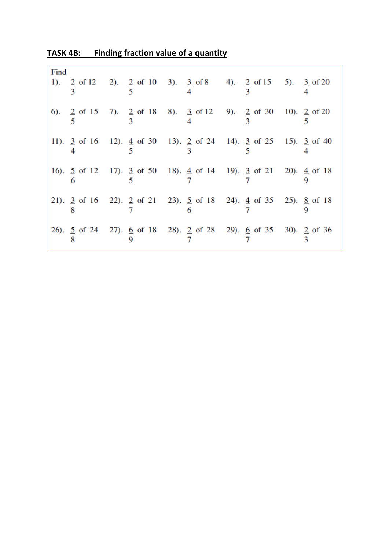| Find |  | 1). $\frac{2}{3}$ of 12 2). $\frac{2}{5}$ of 10 3). $\frac{3}{4}$ of 8 4). $\frac{2}{3}$ of 15 5). $\frac{3}{4}$ of 20       |  |
|------|--|------------------------------------------------------------------------------------------------------------------------------|--|
|      |  | 6). $\frac{2}{5}$ of 15 7). $\frac{2}{3}$ of 18 8). $\frac{3}{4}$ of 12 9). $\frac{2}{3}$ of 30 10). $\frac{2}{5}$ of 20 5   |  |
|      |  | 11). $\frac{3}{4}$ of 16 12). $\frac{4}{5}$ of 30 13). $\frac{2}{3}$ of 24 14). $\frac{3}{5}$ of 25 15). $\frac{3}{5}$ of 40 |  |
|      |  | 16). $\frac{5}{6}$ of 12 17). $\frac{3}{5}$ of 50 18). $\frac{4}{7}$ of 14 19). $\frac{3}{7}$ of 21 20). $\frac{4}{9}$ of 18 |  |
|      |  | 21). $\frac{3}{8}$ of 16 22). $\frac{2}{7}$ of 21 23). $\frac{5}{6}$ of 18 24). $\frac{4}{7}$ of 35 25). $\frac{8}{9}$ of 18 |  |
|      |  | 26). $\frac{5}{8}$ of 24 27). $\frac{6}{9}$ of 18 28). $\frac{2}{7}$ of 28 29). $\frac{6}{7}$ of 35 30). $\frac{2}{3}$ of 36 |  |

**TASK 4B: Finding fraction value of a quantity**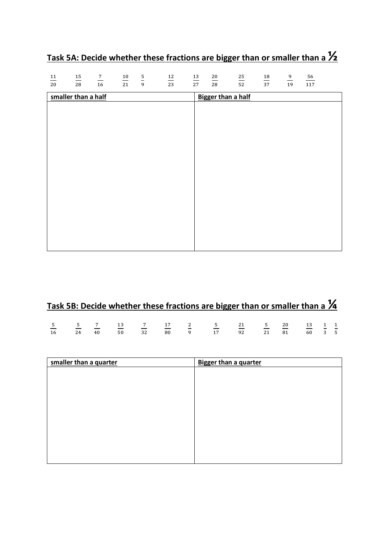| $\frac{11}{20}$                                  | $\frac{15}{28}$ | $\frac{7}{16}$ | $\frac{10}{21}$ | $\frac{5}{9}$ | $\frac{12}{23}$ | $\frac{13}{27}$ | $\frac{20}{28}$ | $\frac{25}{52}$ | $\frac{18}{37}$ | $\frac{9}{19}$ | 56  |  |
|--------------------------------------------------|-----------------|----------------|-----------------|---------------|-----------------|-----------------|-----------------|-----------------|-----------------|----------------|-----|--|
|                                                  |                 |                |                 |               |                 |                 |                 |                 |                 |                | 117 |  |
| smaller than a half<br><b>Bigger than a half</b> |                 |                |                 |               |                 |                 |                 |                 |                 |                |     |  |
|                                                  |                 |                |                 |               |                 |                 |                 |                 |                 |                |     |  |
|                                                  |                 |                |                 |               |                 |                 |                 |                 |                 |                |     |  |
|                                                  |                 |                |                 |               |                 |                 |                 |                 |                 |                |     |  |
|                                                  |                 |                |                 |               |                 |                 |                 |                 |                 |                |     |  |
|                                                  |                 |                |                 |               |                 |                 |                 |                 |                 |                |     |  |
|                                                  |                 |                |                 |               |                 |                 |                 |                 |                 |                |     |  |
|                                                  |                 |                |                 |               |                 |                 |                 |                 |                 |                |     |  |
|                                                  |                 |                |                 |               |                 |                 |                 |                 |                 |                |     |  |
|                                                  |                 |                |                 |               |                 |                 |                 |                 |                 |                |     |  |
|                                                  |                 |                |                 |               |                 |                 |                 |                 |                 |                |     |  |
|                                                  |                 |                |                 |               |                 |                 |                 |                 |                 |                |     |  |
|                                                  |                 |                |                 |               |                 |                 |                 |                 |                 |                |     |  |
|                                                  |                 |                |                 |               |                 |                 |                 |                 |                 |                |     |  |
|                                                  |                 |                |                 |               |                 |                 |                 |                 |                 |                |     |  |
|                                                  |                 |                |                 |               |                 |                 |                 |                 |                 |                |     |  |

# **Task 5A: Decide whether these fractions are bigger than or smaller than a ½**

# **Task 5B: Decide whether these fractions are bigger than or smaller than a ¼**

|  |  |  | $\frac{5}{2}$ $\frac{5}{2}$ $\frac{7}{2}$ $\frac{13}{2}$ $\frac{7}{2}$ $\frac{17}{2}$ $\frac{2}{2}$ $\frac{5}{2}$ $\frac{21}{2}$ $\frac{5}{2}$ $\frac{20}{2}$ $\frac{13}{2}$ $\frac{1}{2}$ $\frac{1}{2}$ |  |  |  |
|--|--|--|----------------------------------------------------------------------------------------------------------------------------------------------------------------------------------------------------------|--|--|--|
|  |  |  | 16 24 40 50 32 80 9 17 92 21 81 60 3 5                                                                                                                                                                   |  |  |  |

| smaller than a quarter | <b>Bigger than a quarter</b> |
|------------------------|------------------------------|
|                        |                              |
|                        |                              |
|                        |                              |
|                        |                              |
|                        |                              |
|                        |                              |
|                        |                              |
|                        |                              |
|                        |                              |
|                        |                              |
|                        |                              |